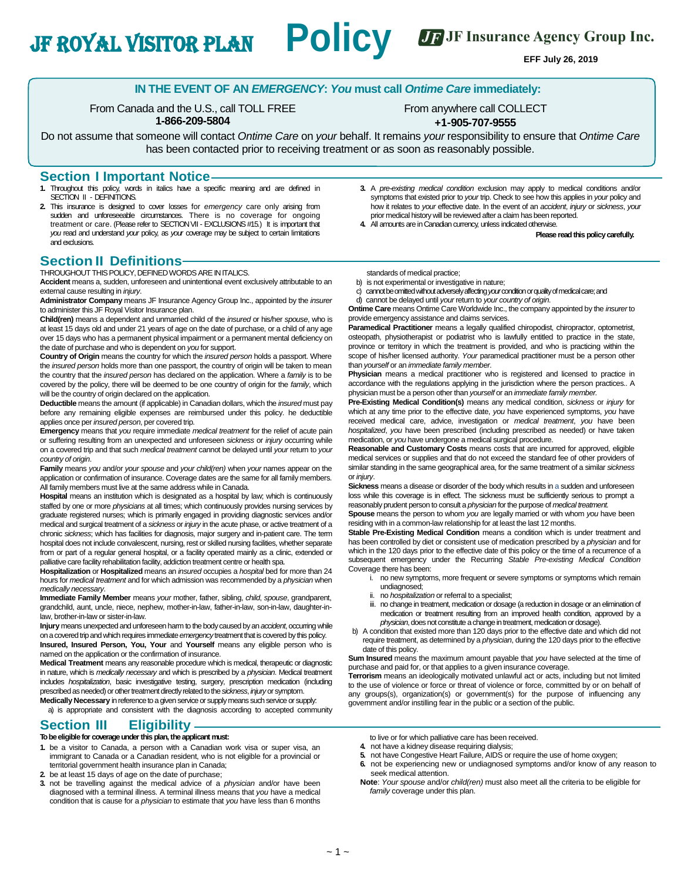JF JF Insurance Agency Group Inc.

**EFF July 26, 2019**

### **IN THE EVENT OF AN** *EMERGENCY***:** *You* **must call** *Ontime Care* **immediately:**

From Canada and the U.S., call TOLL FREE **1-866-209-5804**

JF Royal Visitor Plan **Policy**

From anywhere call COLLECT **+1-905-707-9555**

Do not assume that someone will contact *Ontime Care* on *your* behalf. It remains *your* responsibility to ensure that *Ontime Care*  has been contacted prior to receiving treatment or as soon as reasonably possible.

# **Section I Important Notice**<br>**1.** Throughout this policy, words in italics have a sp

- **1.** Throughout this policy, words in italics have a specific meaning and are defined in SECTION II - DEFINITIONS.
- **2.** This insurance is designed to cover losses for *emergency* care only arising from sudden and unforeseeable circumstances. There is no coverage for ongoing treatment or care. (Please refer to SECTION VII - EXCLUSIONS #15.) It is important that *you* read and understand *your* policy, as *your* coverage may be subject to certain limitations and exclusions.

### **Section II Definitions**

THROUGHOUT THIS POLICY, DEFINED WORDS ARE IN ITALICS.

**Accident** means a, sudden, unforeseen and unintentional event exclusively attributable to an external cause resulting in *injury*.

**Administrator Company** means JF Insurance Agency Group Inc., appointed by the *insurer*  to administer this JF Royal Visitor Insurance plan.

**Child(ren)** means a dependent and unmarried child of the *insured* or his/her *spouse*, who is at least 15 days old and under 21 years of age on the date of purchase, or a child of any age over 15 days who has a permanent physical impairment or a permanent mental deficiency on the date of purchase and who is dependent on *you* for support.

**Country of Origin** means the country for which the *insured person* holds a passport. Where the *insured person* holds more than one passport, the country of origin will be taken to mean the country that the *insured person* has declared on the application. Where a *family* is to be covered by the policy, there will be deemed to be one country of origin for the *family*, which will be the country of origin declared on the application.

**Deductible** means the amount (if applicable) in Canadian dollars, which the *insured* must pay before any remaining eligible expenses are reimbursed under this policy. he deductible applies once per *insured person*, per covered trip.

**Emergency** means that *you* require immediate *medical treatment* for the relief of acute pain or suffering resulting from an unexpected and unforeseen *sickness* or *injury* occurring while on a covered trip and that such *medical treatment* cannot be delayed until *your* return to *your country of origin*.

**Family** means *you* and/or *your spouse* and *your child(ren)* when *your* names appear on the application or confirmation of insurance. Coverage dates are the same for all family members. All family members must live at the same address while in Canada.

**Hospital** means an institution which is designated as a hospital by law; which is continuously staffed by one or more *physicians* at all times; which continuously provides nursing services by graduate registered nurses; which is primarily engaged in providing diagnostic services and/or medical and surgical treatment of a *sickness* or *injury* in the acute phase, or active treatment of a chronic *sickness*; which has facilities for diagnosis, major surgery and in-patient care. The term hospital does not include convalescent, nursing, rest or skilled nursing facilities, whether separate from or part of a regular general hospital, or a facility operated mainly as a clinic, extended or palliative care facility rehabilitation facility, addiction treatment centre or health spa.

**Hospitalization** or **Hospitalized** means an *insured* occupies a *hospital* bed for more than 24 hours for *medical treatment* and for which admission was recommended by a *physician* when *medically necessary*.

**Immediate Family Member** means *your* mother, father, sibling, *child*, *spouse*, grandparent, grandchild, aunt, uncle, niece, nephew, mother-in-law, father-in-law, son-in-law, daughter-inlaw, brother-in-law or sister-in-law.

**Injury** means unexpected and unforeseen harm to the body caused by an *accident*, occurring while on a covered trip and which requires immediate *emergency* treatment that is covered by this policy. **Insured, Insured Person, You, Your** and **Yourself** means any eligible person who is named on the application or the confirmation of insurance.

**Medical Treatment** means any reasonable procedure which is medical, therapeutic or diagnostic in nature, which is *medically necessary* and which is prescribed by a *physician*. Medical treatment includes *hospitalization*, basic investigative testing, surgery, prescription medication (including prescribed as needed) or other treatment directly related to the *sickness*, *injury* or symptom.

**Medically Necessary** in reference to a given service or supply means such service or supply: a) is appropriate and consistent with the diagnosis according to accepted community

# **Section III Eligibility**

**Tobeeligiblefor coverageunderthisplan, theapplicant must:**

- **1.** be a visitor to Canada, a person with a Canadian work visa or super visa, an immigrant to Canada or a Canadian resident, who is not eligible for a provincial or territorial government health insurance plan in Canada;
- **2.** be at least 15 days of age on the date of purchase;
- **3.** not be travelling against the medical advice of a *physician* and/or have been diagnosed with a terminal illness. A terminal illness means that *you* have a medical condition that is cause for a *physician* to estimate that *you* have less than 6 months
- **3.** A *pre-existing medical condition* exclusion may apply to medical conditions and/or symptoms that existed prior to *your* trip. Check to see how this applies in *your* policy and how it relates to *your* effective date. In the event of an *accident*, *injury* or *sickness*, *your*  prior medical history will be reviewed after a claim has been reported.
- **4.** All amounts are inCanadian currency, unless indicated otherwise.

**Please read this policy carefully.** 

- standards of medical practice;
- b) is not experimental or investigative in nature;
- c) cannot be omitted without adversely affecting *your* condition or quality of medical care; and d) cannot be delayed until *your* return to *your country of origin*.

**Ontime Care** means Ontime Care Worldwide Inc., the company appointed by the *insurer* to provide emergency assistance and claims services.

Paramedical Practitioner means a legally qualified chiropodist, chiropractor, optometrist, osteopath, physiotherapist or podiatrist who is lawfully entitled to practice in the state, province or territory in which the treatment is provided, and who is practicing within the scope of his/her licensed authority. *Your* paramedical practitioner must be a person other than *yourself* or an *immediate family member*.

Physician means a medical practitioner who is registered and licensed to practice in accordance with the regulations applying in the jurisdiction where the person practices.. A physician must be a person other than *yourself* or an *immediate family member.*

**Pre-Existing Medical Condition(s)** means any medical condition, *sickness* or *injury* for which at any time prior to the effective date, *you* have experienced symptoms, *you* have received medical care, advice, investigation or *medical treatment*, *you* have been *hospitalized*, *you* have been prescribed (including prescribed as needed) or have taken medication, or *you* have undergone a medical surgical procedure.

**Reasonable and Customary Costs** means costs that are incurred for approved, eligible medical services or supplies and that do not exceed the standard fee of other providers of similar standing in the same geographical area, for the same treatment of a similar *sickness*  or *injury*.

**Sickness** means a disease or disorder of the body which results in a sudden and unforeseen loss while this coverage is in effect. The sickness must be sufficiently serious to prompt a reasonably prudent person to consult a *physician* for the purpose of *medical treatment.*

**Spouse** means the person to whom *you* are legally married or with whom *you* have been residing with in a common-law relationship for at least the last 12 months.

**Stable Pre-Existing Medical Condition** means a condition which is under treatment and has been controlled by diet or consistent use of medication prescribed by a *physician* and for which in the 120 days prior to the effective date of this policy or the time of a recurrence of a subsequent emergency under the Recurring *Stable Pre-existing Medical Condition* Coverage there has been:

- i. no new symptoms, more frequent or severe symptoms or symptoms which remain undiagnosed;
- ii. no *hospitalization* or referral to a specialist;
- iii. no change in treatment, medication or dosage (a reduction in dosage or an elimination of medication or treatment resulting from an improved health condition, approved by a *physician*, does not constitute achange in treatment, medication or dosage).
- b) A condition that existed more than 120 days prior to the effective date and which did not require treatment, as determined by a *physician*, during the 120 days prior to the effective date of this policy.

**Sum Insured** means the maximum amount payable that *you* have selected at the time of purchase and paid for, or that applies to a given insurance coverage.

**Terrorism** means an ideologically motivated unlawful act or acts, including but not limited to the use of violence or force or threat of violence or force, committed by or on behalf of any groups(s), organization(s) or government(s) for the purpose of influencing any government and/or instilling fear in the public or a section of the public.

- to live or for which palliative care has been received. **4.** not have a kidney disease requiring dialysis;
- 
- **5.** not have Congestive Heart Failure, AIDS or require the use of home oxygen;<br>**6.** not be experiencing new or undiagnosed symptoms and/or know of an **6.** not be experiencing new or undiagnosed symptoms and/or know of any reason to seek medical attention.
- **Note**: *Your spouse* and/or *child(ren)* must also meet all the criteria to be eligible for *family* coverage under this plan.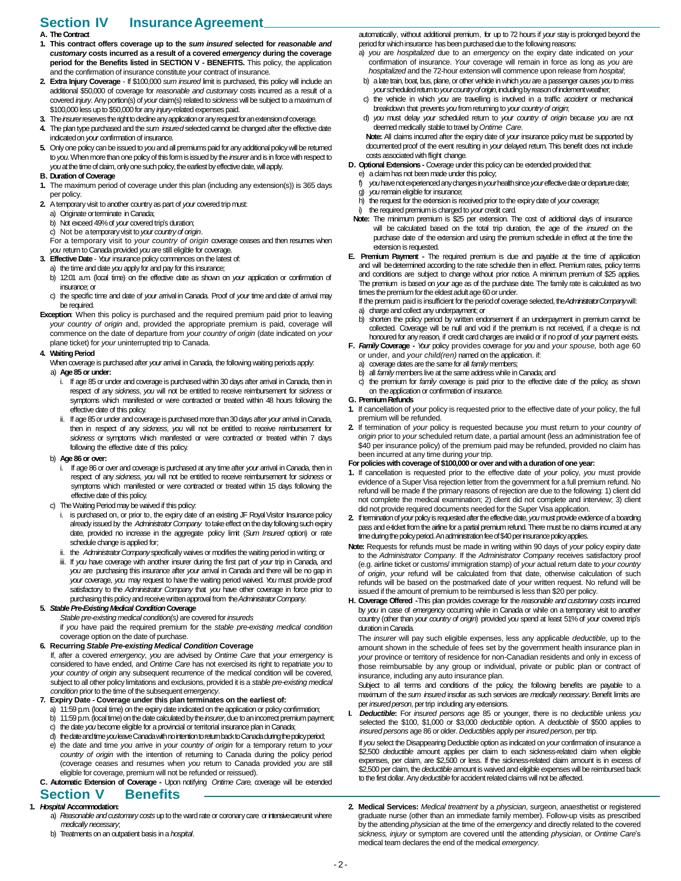# **Section IV InsuranceAgreement**

#### **A. The Contract**

- **1. This contract offers coverage up to the** *sum insured* **selected for** *reasonable and customary* **costs incurred as a result of a covered** *emergency* **during the coverage period for the Benefits listed in SECTION V - BENEFITS.** This policy, the application and the confirmation of insurance constitute *your* contract of insurance.
- **2. Extra Injury Coverage** If \$100,000 *sum insured* limit is purchased, this policy will include an additional \$50,000 of coverage for *reasonable and customary* costs incurred as a result of a covered *injury*. Any portion(s) of *your* claim(s) related to *sickness* will be subject to a maximum of \$100,000lessup to \$50,000 for any *injury*-related expenses paid.
- **3.** The *insurer*reserves the right to decline any application or any request for an extension of coverage.
- **4.** The plan type purchased and the *sum insured* selected cannot be changed after the effective date indicated on *your* confirmation of insurance.
- **5.** Only one policy can be issued to *you* and all premiums paid for any additional policy will be returned to *you*.When more than one policyof this form is issued by the *insurer*and is in force with respect to *you* at the time of claim, only one such policy, the earliest by effective date, will apply.
- **B.** Duration of Coverage
- **1.** The maximum period of coverage under this plan (including any extension(s)) is 365 days per policy.
- **2.** Atemporary visit to another countryas part of *your* covered trip must:
	- a) Originate or terminate inCanada;
	- b) Not exceed 49%of *your* covered trip's duration;
	- c) Not be atemporaryvisit to*your countryof origin*.
	- For a temporary visit to *your country of origin* coverage ceases and then resumes when *you* return to Canada provided *you* are still eligible for coverage.
- **3. Effective Date** *Your* insurance policy commences on the latest of:
- a) the time and date *you* apply for and pay for this insurance;
	- b) 12:01 a.m. (local time) on the effective date as shown on *your* application or confirmation of insurance; or
	- c) the specific time and date of *your a*rrival in Canada. Proof of *your* time and date of arrival may be required.
- **Exception:** When this policy is purchased and the required premium paid prior to leaving *your country of origin* and, provided the appropriate premium is paid, coverage will commence on the date of departure from *your country of origin* (date indicated on *your*  plane ticket) for *your* uninterrupted trip to Canada.

#### **4. WaitingPeriod**

When coverage is purchased after *your* arrival in Canada, the following waiting periods apply:

### a) **Age 85or under:**

- If age 85 or under and coverage is purchased within 30 days after arrival in Canada, then in respect of any *sickness*, *you* will not be entitled to receive reimbursement for *sickness* or symptoms which manifested or were contracted or treated within 48 hours following the effective date of this policy.
- ii. If age 85 or under and coverage is purchased more than 30 days after *your* arrival in Canada, then in respect of any *sickness*, *you* will not be entitled to receive reimbursement for *sickness* or symptoms which manifested or were contracted or treated within 7 days following the effective date of this policy.

#### b) **Age 86or over:**

- i. If age 86 or over and coverage is purchased at any time after *your* arrival in Canada, then in respect of any *sickness*, *you* will not be entitled to receive reimbursement for *sickness* or symptoms which manifested or were contracted or treated within 15 days following the effective date of this policy.
- c) The Waiting Period may be waived if this policy:
	- is purchased on, or prior to, the expiry date of an existing JF Royal Visitor Insurance policy already issued by the Administrator Company to take effect on the day following such expiry date, provided no increase in the aggregate policy limit (*Sum Insured* option) or rate schedule change is applied for;
	- ii. the *AdministratorCompany*specifically waives or modifies the waiting period in writing; or
	- iii. If *you* have coverage with another insurer during the first part of *your* trip in Canada, and *you* are purchasing this insurance after *your* arrival in Canada and there will be no gap in *your* coverage, *you* may request to have the waiting period waived. *You* must provide proof satisfactory to the *Administrator Company* that *you* have other coverage in force prior to purchasing this policy and receive written approval from the Administrator Company.

### **5.** *StablePre-ExistingMedical Condition***Coverage**

*Stable pre-existing medical condition(s)* are covered for *insureds* 

if *you* have paid the required premium for the *stable pre-existing medical condition*  coverage option on the date of purchase.

#### **6. Recurring** *Stable Pre-existing Medical Condition* **Coverage**

If, after a covered *emergency*, *you* are advised by *Ontime Care* that *your emergency* is considered to have ended, and *Ontime Care* has not exercised its right to repatriate *you* to *your country of origin* any subsequent recurrence of the medical condition will be covered, subject to all other policy limitations and exclusions, provided it is a *stable pre-existing medical condition* prior to the time of the subsequent *emergency*.

- **7. Expiry Date - Coverage under this plan terminates on the earliest of:**
	- 11:59 p.m. (local time) on the expiry date indicated on the application or policy confirmation;
	- b) 11:59 p.m. (local time) on the date calculated by the *insurer*, due to an incorrect premium payment;
	- c) the date *you* become eligible for a provincial or territorial insurance plan in Canada;
	- d) the date and time *you* leave Canada with no intention to return back to Canada during the policy period;
	- e) the date and time *you* arrive in *your country of origin* for a temporary return to *your country of origin* with the intention of returning to Canada during the policy period (coverage ceases and resumes when *you* return to Canada provided *you* are still eligible for coverage, premium will not be refunded or reissued).
- **C. Automatic Extension of Coverage -** Upon notifying *Ontime Care,* coverage will be extended **Section V Benefits**

### **1.** *Hospital* **Accommodation:**

- a) Reasonable and customary costs up to the ward rate or coronary care or intensive care unit where *medically necessary*;
- b) Treatments on an outpatient basis in a *hospital*.

automatically, without additional premium, for up to 72 hours if *your* stay is prolonged beyond the period for which insurance has been purchased due to the following reasons:

- a) *you* are *hospitalized* due to an *emergency* on the expiry date indicated on *your*  confirmation of insurance. *Your* coverage will remain in force as long as *you* are *hospitalized* and the 72-hour extension will commence upon release from *hospital*;
- b) a late train, boat, bus, plane, or other vehicle in which *you* are a passenger causes *you* to miss *your*scheduled return to *your country of origin*, including by reason of inclement weather;
- c) the vehicle in which *you* are travelling is involved in a traffic *accident* or mechanical breakdown that prevents *you* fromreturning to *your country of origin*;
- d) *you* must delay *your* scheduled return to *your country of origin* because *you* are not deemed medically stable to travel by*Ontime Care*.
- **Note:** All claims incurred after the expiry date of *your* insurance policy must be supported by documented proof of the event resulting in *your* delayed return. This benefit does not include costs associated with flight change.
- **D. Optional Extensions -** Coverage under this policy can be extended provided that:
- e) a claim has not been made under this policy;
- f) *you* have not experienced any changes in *your* health since *your* effective date or departure date;
- g) *you* remain eligible for insurance;
- h) the request for the extension is received prior to the expiry date of *your* coverage;
- i) the required premiumis charged to *your* credit card.
- **Note:** The minimum premium is \$25 per extension. The cost of additional days of insurance will be calculated based on the total trip duration, the age of the *insured* on the purchase date of the extension and using the premium schedule in effect at the time the extension is requested.
- **E. Premium Payment -** The required premium is due and payable at the time of application and will be determined according to the rate schedule then in effect. Premium rates, policy terms and conditions are subject to change without prior notice. A minimum premium of \$25 applies. The premium is based on *your* age as of the purchase date. The family rate is calculated as two times the premium for the eldest adult age 60 or under.

If the premium paid is insufficient for the period of coverage selected, the AdministratorCompanywill: a) charge and collect any underpayment; or

- b) shorten the policy period by written endorsement if an underpayment in premium cannot be collected. Coverage will be null and void if the premium is not received, if a cheque is not honoured for any reason, if credit card charges are invalid or if no proof of *your* payment exists.
- **F.** *Family* **Coverage -** *Your* policy provides coverage for *you* and *your spouse,* both age 60 or under, and *your child(ren)* named on the application. if:
	- a) coverage dates are the same for all *family* members;
	- all *family* members live at the same address while in Canada; and
	- c) the premium for *family* coverage is paid prior to the effective date of the policy, as shown on the application or confirmation of insurance.
- **G. PremiumRefunds**
- **1.** If cancellation of *your* policy is requested prior to the effective date of *your* policy, the full premium will be refunded.
- **2.** If termination of *your* policy is requested because *you* must return to *your country of origin* prior to *your* scheduled return date, a partial amount (less an administration fee of \$40 per insurance policy) of the premium paid may be refunded, provided no claim has been incurred at any time during *your* trip.

#### **For policies with coverage of \$100,000 or over and with a duration of one year:**

- **1.** If cancellation is requested prior to the effective date of *your* policy, *you* must provide evidence of a Super Visa rejection letter from the government for a full premium refund. No refund will be made if the primary reasons of rejection are due to the following: 1) client did not complete the medical examination; 2) client did not complete and interview; 3) client did not provide required documents needed for the Super Visa application.
- **2.** If termination of *your*policy is requested after the effective date, *you*must provide evidence of a boarding pass and e-ticket from the airline for a partial premium refund. There must be no claims incurred at any time during the policy period. An administration fee of \$40 per insurance policy applies.
- **Note:** Requests for refunds must be made in writing within 90 days of *your* policy expiry date to the *Administrator Company*. If the *Administrator Company* receives satisfactory proof (e.g. airline ticket or customs/ immigration stamp) of *your* actual return date to *your country of origin*, *your* refund will be calculated from that date, otherwise calculation of such refunds will be based on the postmarked date of *your* written request. No refund will be issued if the amount of premium to be reimbursed is less than \$20 per policy.
- **H. Coverage Offered -**This plan provides coverage for the *reasonable and customary costs* incurred by *you* in case of *emergency* occurring while in Canada or while on a temporary visit to another country (other than *your country of origin*) provided *you* spend at least 51% of *your* covered trip's duration inCanada.

The *insurer* will pay such eligible expenses, less any applicable *deductible*, up to the amount shown in the schedule of fees set by the government health insurance plan in *your* province or territory of residence for non-Canadian residents and only in excess of those reimbursable by any group or individual, private or public plan or contract of insurance, including any auto insurance plan.

Subject to all terms and conditions of the policy, the following benefits are payable to a maximum of the *sum insured* insofar as such services are *medically necessary*. Benefit limits are per *insured person*, per trip including any extensions.

**I.** *Deductible***:** For *insured persons* age 85 or younger, there is no *deductible* unless *you*  selected the \$100, \$1,000 or \$3,000 *deductible* option. A *deductible* of \$500 applies to *insured persons* age 86 or older. *Deductibles* apply per *insured person*, per trip.

If *you* select the Disappearing Deductible option as indicated on *your* confirmation of insurance a \$2,500 *deductible* amount applies per claim to each sickness-related claim when eligible expenses, per claim, are \$2,500 or less. If the sickness-related claim amount is in excess of \$2,500 per claim, the *deductible* amount is waived and eligible expenses will be reimbursed back to the first dollar.Any *deductible*for accident related claims will not be affected.

**2. Medical Services:** *Medical treatment* by a *physician*, surgeon, anaesthetist or registered graduate nurse (other than an immediate family member). Follow-up visits as prescribed by the attending *physician* at the time of the *emergency* and directly related to the covered *sickness, injury* or symptom are covered until the attending *physician*, or *Ontime Care*'s medical team declares the end of the medical *emergency*.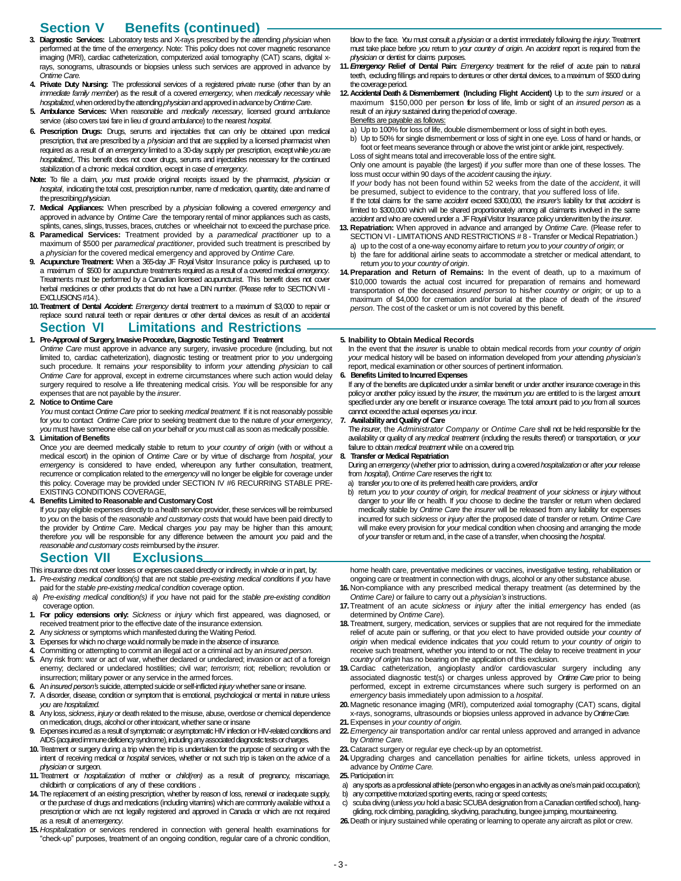# **Section V Benefits (continued)**

- **3. Diagnostic Services:** Laboratory tests and X-rays prescribed by the attending *physician* when performed at the time of the *emergency*. Note: This policy does not cover magnetic resonance imaging (MRI), cardiac catheterization, computerized axial tomography (CAT) scans, digital xrays, sonograms, ultrasounds or biopsies unless such services are approved in advance by *Ontime Care.*
- **4. Private Duty Nursing:** The professional services of a registered private nurse (other than by an *immediate family member*) as the result of a covered *emergency*, when *medically necessary* while *hospitalized*, when ordered by the attending *physician* and approved in advance by*Ontime Care*.
- **5. Ambulance Services:** When reasonable and *medically necessary*, licensed ground ambulance service (also covers taxi fare in lieu of ground ambulance) to the nearest *hospital*.
- **6. Prescription Drugs:** Drugs, serums and injectables that can only be obtained upon medical prescription, that are prescribed by a *physician* and that are supplied by a licensed pharmacist when required as a result of an *emergency* limited to a 30-day supply per prescription, except while *you*are *hospitalized*,. This benefit does not cover drugs, serums and injectables necessary for the continued stabilization of a chronic medical condition, except in case of *emergency*.
- **Note:** To file a claim, *you* must provide original receipts issued by the pharmacist, *physician* or *hospital*, indicating the total cost, prescription number, name of medication, quantity, date and name of theprescribing *physician*.
- **7. Medical Appliances:** When prescribed by a *physician* following a covered *emergency* and approved in advance by *Ontime Care* the temporary rental of minor appliances such as casts, splints, canes, slings, trusses, braces, crutches or wheelchair not to exceed the purchase price.
- **8. Paramedical Services:** Treatment provided by a *paramedical practitioner* up to a maximum of \$500 per *paramedical practitioner*, provided such treatment is prescribed by a *physician* for the covered medical emergency and approved by *Ontime Care.*
- **9. Acupuncture Treatment:** When a 365-day JF RoyalVisitor Insurance policy is purchased, up to a maximum of \$500 for acupuncture treatments required as a result of a covered medical *emergency*. Treatments must be performed by a Canadian licensed acupuncturist. This benefit does not cover herbal medicines or other products that do not have a DIN number. (Please refer to SECTION VII - $FXCI$  LISIONS #14.)
- **10. Treatment of Dental** *Accident***:** *Emergency* dental treatment to a maximum of \$3,000 to repair or replace sound natural teeth or repair dentures or other dental devices as result of an accidental

## **Section VI Limitations and Restrictions**

- **1. Pre-Approval of Surgery, InvasiveProcedure, Diagnostic Testingand Treatment** *Ontime Care* must approve in advance any surgery, invasive procedure (including, but not limited to, cardiac catheterization), diagnostic testing or treatment prior to *you* undergoing such procedure. It remains *your* responsibility to inform *your* attending *physician* to call *Ontime Care* for approval, except in extreme circumstances where such action would delay surgery required to resolve a life threatening medical crisis. *You* will be responsible for any expenses that are not payable by the *insurer*.
- **2. Notice to Ontime Care**
- *You* must contact *Ontime Care* prior to seeking *medical treatment.* If it is not reasonably possible for *you* to contact *Ontime Care* prior to seeking treatment due to the nature of *your emergency*, *you* must have someone else call on *your* behalf or *you* must call as soon as medically possible. **3. Limitation of Benefits**
- Once *you* are deemed medically stable to return to *your country of origin* (with or without a medical escort) in the opinion of *Ontime Care* or by virtue of discharge from *hospital*, *your emergency* is considered to have ended, whereupon any further consultation, treatment, recurrence or complication related to the *emergency* will no longer be eligible for coverage under this policy. Coverage may be provided under SECTION IV #6 RECURRING STABLE PRE-EXISTING CONDITIONS COVERAGE,
- **4. Benefits Limited to Reasonable and Customary Cost**

If *you* pay eligible expenses directly to a health service provider, these services will be reimbursed to *you* on the basis of the *reasonable and customary costs* that would have been paid directly to the provider by *Ontime Care*. Medical charges *you* pay may be higher than this amount; therefore *you* will be responsible for any difference between the amount *you* paid and the *reasonable and customary costs* reimbursed by the *insurer*.

### **Section VII Exclusions**

- This insurance does not cover losses or expenses caused directly or indirectly, in whole or in part, by:
- **1.** *Pre-existing medical condition(s)* that are not stable *pre-existing medical conditions* if *you* have paid for the *stable pre-existing medical condition* coverage option.
- a) *Pre-existing medical condition(s)* if *you* have not paid for the *stable pre-existing condition* coverage option.
- **1. For policy extensions only:** *Sickness* or *injury* which first appeared, was diagnosed, or received treatment prior to the effective date of the insurance extension.
- **2.** Any *sickness* or symptoms which manifested during the Waiting Period.
- **3.** Expenses for which nocharge would normally bemade in the absence of insurance.
- **4.** Committing or attempting to commit an illegal act or a criminal act by an *insured person*.
- **5.** Any risk from: war or act of war, whether declared or undeclared; invasion or act of a foreign enemy; declared or undeclared hostilities; civil war; *terrorism*; riot; rebellion; revolution or insurrection; military power or any service in the armed forces.
- **6.** An *insured person's* suicide, attempted suicide or self-inflicted *injury* whether sane or insane.
- **7.** A disorder, disease, condition or symptom that is emotional, psychological or mental in nature unless *you* are *hospitalized*.
- **8.** Any loss, *sickness*, *injury* or death related to the misuse, abuse, overdose or chemical dependence on medication, drugs, alcohol or other intoxicant, whether sane or insane
- **9.** Expenses incurred as a result of symptomatic or asymptomatic HIV infection or HIV-related conditions and AIDS (acquired immune deficiency syndrome), including any associated diagnostic tests or charges.
- **10.** Treatment or surgery during a trip when the trip is undertaken for the purpose of securing or with the intent of receiving medical or *hospital* services, whether or not such trip is taken on the advice of a *physician* or surgeon.
- **11.** Treatment or *hospitalization* of mother or *child(ren)* as a result of pregnancy, miscarriage, childbirth or complications of any of these conditions .
- **14.** The replacement of an existing prescription, whether by reason of loss, renewal or inadequate supply, or the purchase of drugs and medications (including vitamins) which are commonly available without a prescriptionor which are not legally registered and approved in Canada or which are not required as a result of an *emergency*.
- **15.** *Hospitalization* or services rendered in connection with general health examinations for "check-up" purposes, treatment of an ongoing condition, regular care of a chronic condition,

blow to the face. *You* must consult a *physician* or a dentist immediately following the *injury*.Treatment must take place before *you* return to *your country of origin*. An *accident* report is required from the *physician* or dentist for claims purposes.

- **11.***Emergency* **Relief of Dental Pain:** *Emergency* treatment for the relief of acute pain to natural teeth, excluding fillings and repairs to dentures or other dental devices, to a maximum of \$500 during the coverage period.
- **12. Accidental Death & Dismemberment (Including Flight Accident)** Up to the *sum insured* or a maximum \$150,000 per person **f**or loss of life, limb or sight of an *insured person* as a result of an *injury* sustained during the period of coverage. Benefits are payable as follows:
	- a) Up to 100% for loss of life, double dismemberment or loss of sight in both eyes.
	- b) Up to 50% for single dismemberment or loss of sight in one eye. Loss of hand or hands, or foot or feet means severance through or above the wrist joint or ankle joint, respectively.

Loss of sight means total and irrecoverable loss of the entire sight. Only one amount is payable (the largest) if *you* suffer more than one of these losses. The loss must occur within 90 days of the *accident* causing the *injury*.

If *your* body has not been found within 52 weeks from the date of the *accident*, it will be presumed, subject to evidence to the contrary, that *you* suffered loss of life.

If the total claims for the same *accident* exceed \$300,000, the *insurer's* liability for that *accident* is limited to \$300,000 which will be shared proportionately among all claimants involved in the same *accident* and who arecovered under a JFRoyal Visitor Insurance policyunderwritten by the *insurer*.

- **13. Repatriation:** When approved in advance and arranged by *Ontime Care.* (Please refer to SECTION VI - LIMITATIONS AND RESTRICTIONS # 8 - Transfer or Medical Repatriation.)
	- a) up to the cost of a one-way economy airfare to return *you* to *your country of origin*; or b) the fare for additional airline seats to accommodate a stretcher or medical attendant, to
- return *you* to *your country of origin*. **14.Preparation and Return of Remains:** In the event of death, up to a maximum of
- \$10,000 towards the actual cost incurred for preparation of remains and homeward transportation of the deceased *insured person* to his/her *country or origin*; or up to a maximum of \$4,000 for cremation and/or burial at the place of death of the *insured person*. The cost of the casket or urn is not covered by this benefit.

#### **5. Inability to Obtain Medical Records**

In the event that the *insurer* is unable to obtain medical records from *your country of origin your* medical history will be based on information developed from *your* attending *physician's* report, medical examination or other sources of pertinent information.

#### **6. Benefits Limited to Incurred Expenses**

If any of the benefits are duplicated under a similar benefit or under another insurance coverage in this policy or another policy issued by the *insurer*, the maximum *you* are entitled to is the largest amount specified under any one benefit or insurance coverage. The total amount paid to *you* from all sources cannot exceed the actual expenses *you* incur.

#### **7. AvailabilityandQualityof Care**

The *insurer*, the *Administrator Company* or *Ontime Care* shall not be held responsible for the availability or quality of any *medical treatment* (including the results thereof) or transportation, or *your* failure to obtain *medical treatment* while on a covered trip.

#### **8. Transfer or Medical Repatriation**

Duringan*emergency* (whether prior toadmission, duringacovered*hospitalization*or after *your* release from *hospital)*, *Ontime Care*reserves the right to:

- a) transfer *you* to one of its preferred health care providers, and/or
- b) return *you* to *your country of origin,* for *medical treatment* of *your sickness* or *injury* without danger to *your* life or health. If *you* choose to decline the transfer or return when declared medically stable by *Ontime Care* the *insurer* will be released from any liability for expenses incurred for such *sickness* or *injury* after the proposed date of transfer or return. *Ontime Care*  will make every provision for *your* medical condition when choosing and arranging the mode of *your* transfer or return and, in the case of a transfer, when choosing the *hospital*.

home health care, preventative medicines or vaccines, investigative testing, rehabilitation or ongoing care or treatment in connection with drugs, alcohol or any other substance abuse. **16.** Non-compliance with any prescribed medical therapy treatment (as determined by the

- *Ontime Care)* or failure to carry out a *physician's* instructions.
- **17.** Treatment of an acute *sickness* or *injury* after the initial *emergency* has ended (as determined by *Ontime Care*).
- **18.** Treatment, surgery, medication, services or supplies that are not required for the immediate relief of acute pain or suffering, or that *you* elect to have provided outside *your country of origin* when medical evidence indicates that *you* could return to *your country of origin* to receive such treatment, whether you intend to or not. The delay to receive treatment in *your country of origin* has no bearing on the application of this exclusion.
- **19.** Cardiac catheterization, angioplasty and/or cardiovascular surgery including any associated diagnostic test(s) or charges unless approved by *Ontime Care* prior to being performed, except in extreme circumstances where such surgery is performed on an *emergency* basis immediately upon admission to a *hospital*.
- **20.** Magnetic resonance imaging (MRI), computerized axial tomography (CAT) scans, digital x-rays, sonograms, ultrasounds or biopsies unless approved in advance by*Ontime Care.*
- **21.**Expenses in *your country of origin.*
- **22.***Emergency* air transportation and/or car rental unless approved and arranged in advance by *Ontime Care.*
- **23.** Cataract surgery or regular eye check-up by an optometrist.
- **24.** Upgrading charges and cancellation penalties for airline tickets, unless approved in advance by *Ontime Care.*
- **25.**Participation in:
- a) any sports as a professional athlete (person who engages in an activity as one's main paid occupation);
- b) any competitive motorized sporting events, racing or speed contests; c) scuba diving (unless *you* hold a basic SCUBA designation from a Canadian certified school), hang-
- gliding, rock climbing, paragliding, skydiving, parachuting, bungee jumping, mountaineering. **26.**Death or injury sustained while operating or learning to operate any aircraft as pilot or crew.